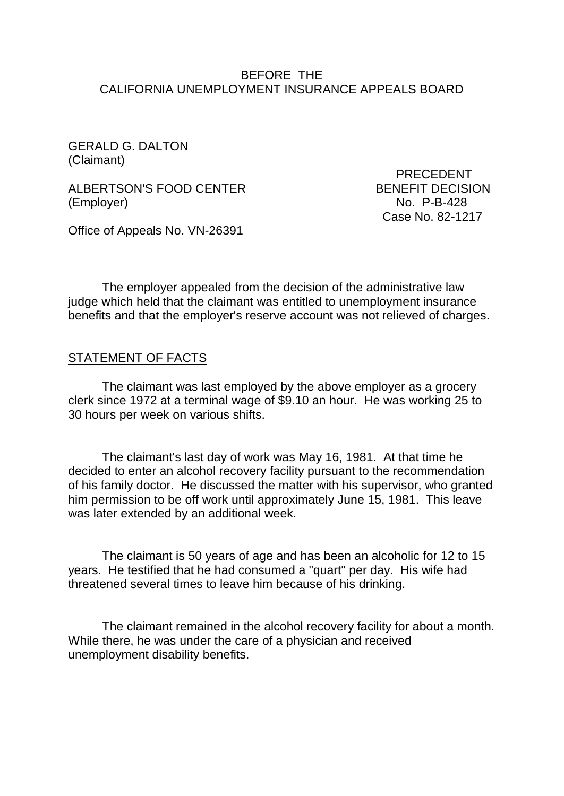#### BEFORE THE CALIFORNIA UNEMPLOYMENT INSURANCE APPEALS BOARD

GERALD G. DALTON (Claimant)

ALBERTSON'S FOOD CENTER BENEFIT DECISION (Employer) No. P-B-428

 PRECEDENT Case No. 82-1217

Office of Appeals No. VN-26391

The employer appealed from the decision of the administrative law judge which held that the claimant was entitled to unemployment insurance benefits and that the employer's reserve account was not relieved of charges.

#### STATEMENT OF FACTS

The claimant was last employed by the above employer as a grocery clerk since 1972 at a terminal wage of \$9.10 an hour. He was working 25 to 30 hours per week on various shifts.

The claimant's last day of work was May 16, 1981. At that time he decided to enter an alcohol recovery facility pursuant to the recommendation of his family doctor. He discussed the matter with his supervisor, who granted him permission to be off work until approximately June 15, 1981. This leave was later extended by an additional week.

The claimant is 50 years of age and has been an alcoholic for 12 to 15 years. He testified that he had consumed a "quart" per day. His wife had threatened several times to leave him because of his drinking.

The claimant remained in the alcohol recovery facility for about a month. While there, he was under the care of a physician and received unemployment disability benefits.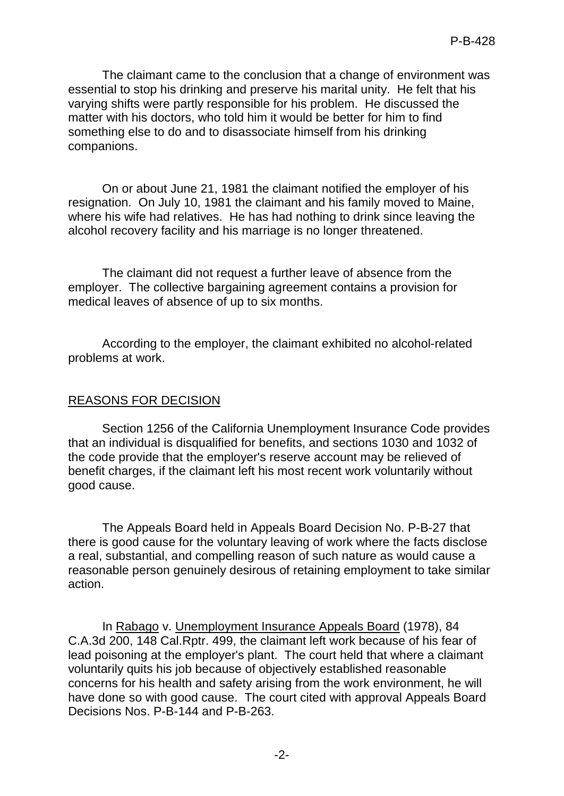The claimant came to the conclusion that a change of environment was essential to stop his drinking and preserve his marital unity. He felt that his varying shifts were partly responsible for his problem. He discussed the matter with his doctors, who told him it would be better for him to find something else to do and to disassociate himself from his drinking companions.

On or about June 21, 1981 the claimant notified the employer of his resignation. On July 10, 1981 the claimant and his family moved to Maine, where his wife had relatives. He has had nothing to drink since leaving the alcohol recovery facility and his marriage is no longer threatened.

The claimant did not request a further leave of absence from the employer. The collective bargaining agreement contains a provision for medical leaves of absence of up to six months.

According to the employer, the claimant exhibited no alcohol-related problems at work.

## REASONS FOR DECISION

Section 1256 of the California Unemployment Insurance Code provides that an individual is disqualified for benefits, and sections 1030 and 1032 of the code provide that the employer's reserve account may be relieved of benefit charges, if the claimant left his most recent work voluntarily without good cause.

The Appeals Board held in Appeals Board Decision No. P-B-27 that there is good cause for the voluntary leaving of work where the facts disclose a real, substantial, and compelling reason of such nature as would cause a reasonable person genuinely desirous of retaining employment to take similar action.

In Rabago v. Unemployment Insurance Appeals Board (1978), 84 C.A.3d 200, 148 Cal.Rptr. 499, the claimant left work because of his fear of lead poisoning at the employer's plant. The court held that where a claimant voluntarily quits his job because of objectively established reasonable concerns for his health and safety arising from the work environment, he will have done so with good cause. The court cited with approval Appeals Board Decisions Nos. P-B-144 and P-B-263.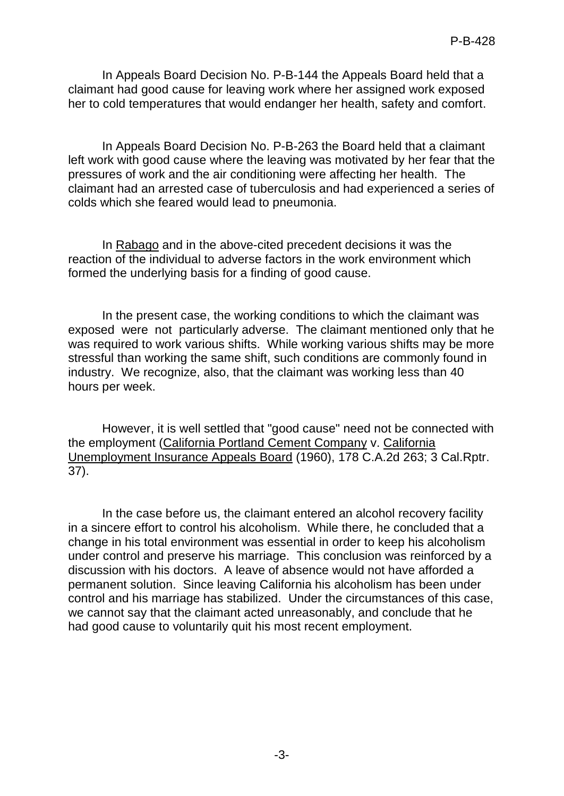In Appeals Board Decision No. P-B-144 the Appeals Board held that a claimant had good cause for leaving work where her assigned work exposed her to cold temperatures that would endanger her health, safety and comfort.

In Appeals Board Decision No. P-B-263 the Board held that a claimant left work with good cause where the leaving was motivated by her fear that the pressures of work and the air conditioning were affecting her health. The claimant had an arrested case of tuberculosis and had experienced a series of colds which she feared would lead to pneumonia.

In Rabago and in the above-cited precedent decisions it was the reaction of the individual to adverse factors in the work environment which formed the underlying basis for a finding of good cause.

In the present case, the working conditions to which the claimant was exposed were not particularly adverse. The claimant mentioned only that he was required to work various shifts. While working various shifts may be more stressful than working the same shift, such conditions are commonly found in industry. We recognize, also, that the claimant was working less than 40 hours per week.

However, it is well settled that "good cause" need not be connected with the employment (California Portland Cement Company v. California Unemployment Insurance Appeals Board (1960), 178 C.A.2d 263; 3 Cal.Rptr. 37).

In the case before us, the claimant entered an alcohol recovery facility in a sincere effort to control his alcoholism. While there, he concluded that a change in his total environment was essential in order to keep his alcoholism under control and preserve his marriage. This conclusion was reinforced by a discussion with his doctors. A leave of absence would not have afforded a permanent solution. Since leaving California his alcoholism has been under control and his marriage has stabilized. Under the circumstances of this case, we cannot say that the claimant acted unreasonably, and conclude that he had good cause to voluntarily quit his most recent employment.